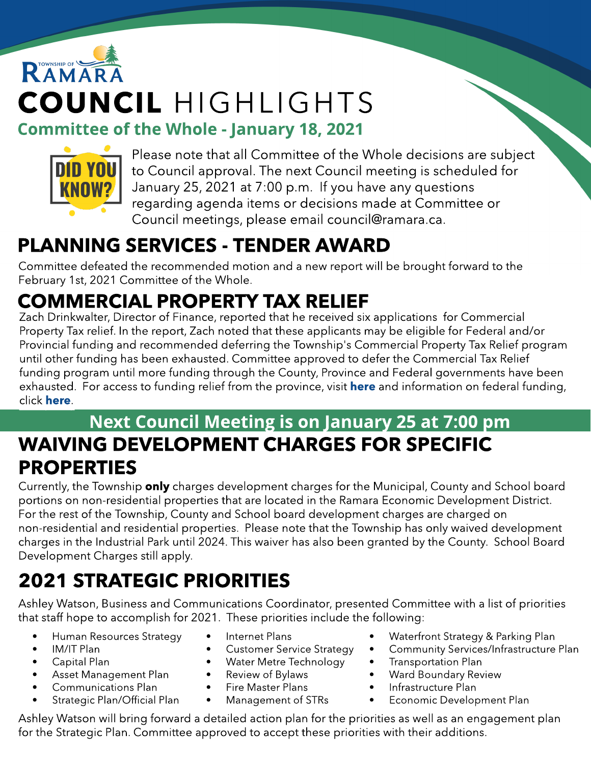# RAMAR COUNCIL HIGHLIGHTS





Please note that all Committee of the Whole decisions are subject to Council approval. The next Council meeting is scheduled for January 25, 2021 at 7:00 p.m. If you have any questions regarding agenda items or decisions made at Committee or Council meetings, please email council@ramara.ca.

## PLANNING SERVICES - TENDER AWARD

Committee defeated the recommended motion and a new report will be brought forward to the February 1st, 2021 Committee of the Whole.

# COMMERCIAL PROPERTY TAX RELIEF

Zach Drinkwalter, Director of Finance, reported that he received six applications for Commercial Property Tax relief. In the report, Zach noted that these applicants may be eligible for Federal and/or Provincial funding and recommended deferring the Township's Commercial Property Tax Relief program until other funding has been exhausted. Committee approved to defer the Commercial Tax Relief funding program until more funding through the County, Province and Federal governments have been exhausted. For access to funding relief from the province, visit **[here](https://www.ontario.ca/page/businesses-get-help-covid-19-costs)** and information on federal funding, click [here](https://www.canada.ca/en/revenue-agency/services/subsidy/emergency-rent-subsidy.html)[.](https://www.canada.ca/en/revenue-agency/services/subsidy/emergency-rent-subsidy.html)

#### Next Council Meeting is on January 25 at 7:00 pm WAIVING DEVELOPMENT CHARGES FOR SPECIFIC PROPERTIES

Currently, the Township **only** charges development charges for the Municipal, County and School board portions on non-residential properties that are located in the Ramara Economic Development District. For the rest of the Township, County and School board development charges are charged on non-residential and residential properties. Please note that the Township has only waived development charges in the Industrial Park until 2024. This waiver has also been granted by the County. School Board Development Charges still apply.

# 2021 STRATEGIC PRIORITIES

Ashley Watson, Business and Communications Coordinator, presented Committee with a list of priorities that staff hope to accomplish for 2021. These priorities include the following:

- Human Resources Strategy
- IM/IT Plan
- Capital Plan
- Asset Management Plan
- Communications Plan
	- Strategic Plan/Official Plan
- Internet Plans
- **•** Customer Service Strategy
- Water Metre Technology
- Review of Bylaws
- Fire Master Plans
- Management of STRs
- Waterfront Strategy & Parking Plan
- Community Services/Infrastructure Plan
- Transportation Plan
- Ward Boundary Review
- Infrastructure Plan
- Economic Development Plan

Ashley Watson will bring forward a detailed action plan for the priorities as well as an engagement plan for the Strategic Plan. Committee approved to accept these priorities with their additions.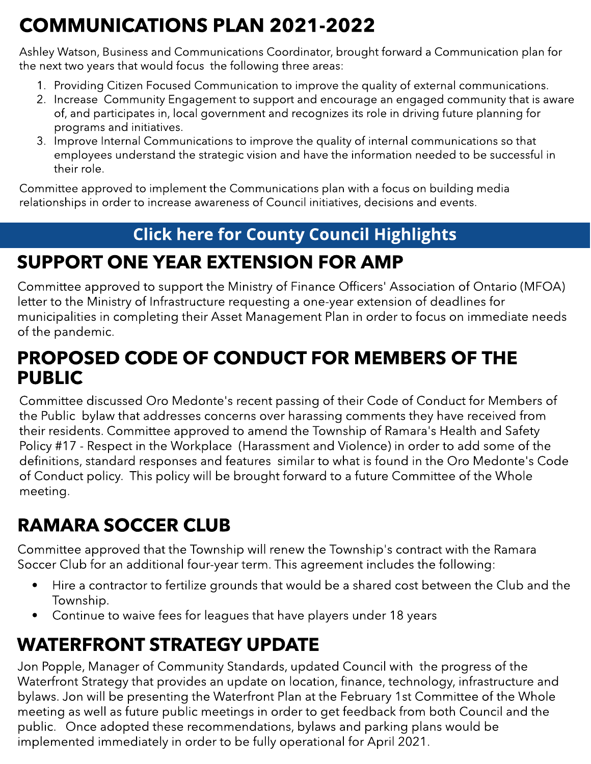# COMMUNICATIONS PLAN 2021-2022

Ashley Watson, Business and Communications Coordinator, brought forward a Communication plan for the next two years that would focus the following three areas:

- 1. Providing Citizen Focused Communication to improve the quality of external communications.
- 2. Increase Community Engagement to support and encourage an engaged community that is aware of, and participates in, local government and recognizes its role in driving future planning for programs and initiatives.
- 3. Improve Internal Communications to improve the quality of internal communications so that employees understand the strategic vision and have the information needed to be successful in their role.

Committee approved to implement the Communications plan with a focus on building media relationships in order to increase awareness of Council initiatives, decisions and events.

#### **[Click](https://ramara.civicweb.net/portal/) [here](https://ramara.civicweb.net/portal/) [for](https://ramara.civicweb.net/portal/) [Count](https://www.simcoe.ca/dpt/ccd/newsletters)y [Council](https://www.simcoe.ca/dpt/ccd/newsletters) [Highlight](https://www.simcoe.ca/dpt/ccd/newsletters)s**

## SUPPORT ONE YEAR EXTENSION FOR AMP

Committee approved to support the Ministry of Finance Officers' Association of Ontario (MFOA) letter to the Ministry of Infrastructure requesting a one-year extension of deadlines for municipalities in completing their Asset Management Plan in order to focus on immediate needs of the pandemic.

### PROPOSED CODE OF CONDUCT FOR MEMBERS OF THE PUBLIC

Committee discussed Oro Medonte's recent passing of their Code of Conduct for Members of the Public bylaw that addresses concerns over harassing comments they have received from their residents. Committee approved to amend the Township of Ramara's Health and Safety Policy #17 - Respect in the Workplace (Harassment and Violence) in order to add some of the definitions, standard responses and features similar to what is found in the Oro Medonte's Code of Conduct policy. This policy will be brought forward to a future Committee of the Whole meeting.

## RAMARA SOCCER CLUB

Committee approved that the Township will renew the Township's contract with the Ramara Soccer Club for an additional four-year term. This agreement includes the following:

- Hire a contractor to fertilize grounds that would be a shared cost between the Club and the Township.
- Continue to waive fees for leagues that have players under 18 years

## WATERFRONT STRATEGY UPDATE

Jon Popple, Manager of Community Standards, updated Council with the progress of the Waterfront Strategy that provides an update on location, finance, technology, infrastructure and bylaws. Jon will be presenting the Waterfront Plan at the February 1st Committee of the Whole meeting as well as future public meetings in order to get feedback from both Council and the public. Once adopted these recommendations, bylaws and parking plans would be implemented immediately in order to be fully operational for April 2021.